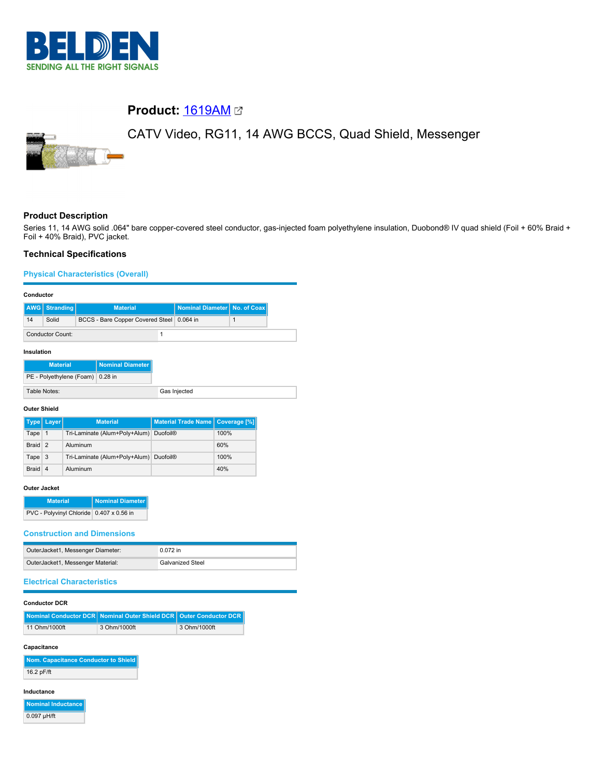

# **Product:** [1619AM](https://catalog.belden.com/index.cfm?event=pd&p=PF_1619AM&tab=downloads)

# CATV Video, RG11, 14 AWG BCCS, Quad Shield, Messenger

# **Product Description**

Series 11, 14 AWG solid .064" bare copper-covered steel conductor, gas-injected foam polyethylene insulation, Duobond® IV quad shield (Foil + 60% Braid + Foil + 40% Braid), PVC jacket.

# **Technical Specifications**

#### **Physical Characteristics (Overall)**

#### **Conductor**

|                  | AWG Stranding | <b>Material</b>                           | Nominal Diameter No. of Coax |  |
|------------------|---------------|-------------------------------------------|------------------------------|--|
| 14               | Solid         | BCCS - Bare Copper Covered Steel 0.064 in |                              |  |
| Conductor Count: |               |                                           |                              |  |
| Insulation       |               |                                           |                              |  |

| <b>Material</b>                  | Nominal Diameter |
|----------------------------------|------------------|
| PE - Polyethylene (Foam) 0.28 in |                  |
| Table Notes:                     |                  |

#### **Outer Shield**

|                   | Type   Layer   | <b>Material</b>                        | Material Trade Name   Coverage [%] |      |
|-------------------|----------------|----------------------------------------|------------------------------------|------|
| Tape              | $\mathbf 1$    | Tri-Laminate (Alum+Poly+Alum) Duofoil® |                                    | 100% |
| Braid 2           |                | Aluminum                               |                                    | 60%  |
| Tape <sub>3</sub> |                | Tri-Laminate (Alum+Poly+Alum) Duofoil® |                                    | 100% |
| <b>Braid</b>      | $\overline{4}$ | Aluminum                               |                                    | 40%  |

#### **Outer Jacket**

| <b>Material</b>                          | Nominal Diameter |
|------------------------------------------|------------------|
| PVC - Polyvinyl Chloride 0.407 x 0.56 in |                  |

#### **Construction and Dimensions**

| OuterJacket1, Messenger Diameter: | $0.072$ in              |
|-----------------------------------|-------------------------|
| OuterJacket1, Messenger Material: | <b>Galvanized Steel</b> |

# **Electrical Characteristics**

#### **Conductor DCR**

|               | Nominal Conductor DCR   Nominal Outer Shield DCR   Outer Conductor DCR |              |
|---------------|------------------------------------------------------------------------|--------------|
| 11 Ohm/1000ft | 3 Ohm/1000ft                                                           | 3 Ohm/1000ft |

#### **Capacitance**

**Nom. Capacitance Conductor to Shield** 16.2 pF/ft

#### **Inductance**

| Nominal Inductance |
|--------------------|
| $0.097$ µH/ft      |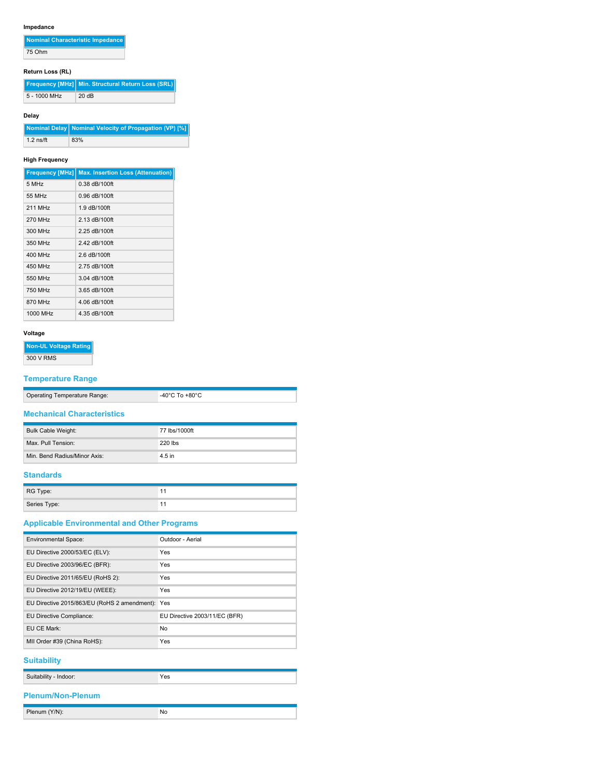# **Impedance**

| Nominal Characteristic Impedance |  |
|----------------------------------|--|
|                                  |  |

75 Ohm

# **Return Loss (RL)**

|              | <b>Frequency [MHz]</b> Min. Structural Return Loss (SRL) |
|--------------|----------------------------------------------------------|
| 5 - 1000 MHz | 20 dB                                                    |

# **Delay**

|             | Nominal Delay Nominal Velocity of Propagation (VP) [%] |
|-------------|--------------------------------------------------------|
| $1.2$ ns/ft | 83%                                                    |

# **High Frequency**

| <b>Frequency [MHz]</b> | <b>Max. Insertion Loss (Attenuation)</b> |
|------------------------|------------------------------------------|
| 5 MHz                  | $0.38$ dB/100ft                          |
| 55 MHz                 | 0.96 dB/100ft                            |
| 211 MHz                | 1.9 dB/100ft                             |
| 270 MHz                | 2.13 dB/100ft                            |
| 300 MHz                | 2.25 dB/100ft                            |
| 350 MHz                | 2.42 dB/100ft                            |
| 400 MHz                | 2.6 dB/100ft                             |
| 450 MHz                | 2.75 dB/100ft                            |
| 550 MHz                | 3.04 dB/100ft                            |
| 750 MHz                | 3.65 dB/100ft                            |
| 870 MHz                | 4.06 dB/100ft                            |
| 1000 MHz               | 4.35 dB/100ft                            |

#### **Voltage**

**Non-UL Voltage Rating** 300 V RMS

# **Temperature Range**

| Operating Temperature Range: | -40 $^{\circ}$ C To +80 $^{\circ}$ C |
|------------------------------|--------------------------------------|

### **Mechanical Characteristics**

| <b>Bulk Cable Weight:</b>    | 77 lbs/1000ft |
|------------------------------|---------------|
| Max. Pull Tension:           | $220$ lbs     |
| Min. Bend Radius/Minor Axis: | 4.5 in        |

# **Standards**

| RG Type:     |  |
|--------------|--|
| Series Type: |  |

# **Applicable Environmental and Other Programs**

| <b>Environmental Space:</b>                  | Outdoor - Aerial              |
|----------------------------------------------|-------------------------------|
| EU Directive 2000/53/EC (ELV):               | Yes                           |
| EU Directive 2003/96/EC (BFR):               | Yes                           |
| EU Directive 2011/65/EU (RoHS 2):            | Yes                           |
| EU Directive 2012/19/EU (WEEE):              | Yes                           |
| EU Directive 2015/863/EU (RoHS 2 amendment): | Yes                           |
| EU Directive Compliance:                     | EU Directive 2003/11/EC (BFR) |
| EU CE Mark:                                  | No                            |
| MII Order #39 (China RoHS):                  | Yes                           |
|                                              |                               |

## **Suitability**

| Suitability - Indoor:    | Yes |  |  |
|--------------------------|-----|--|--|
| <b>Plenum/Non-Plenum</b> |     |  |  |
| Plenum (Y/N):            | No  |  |  |